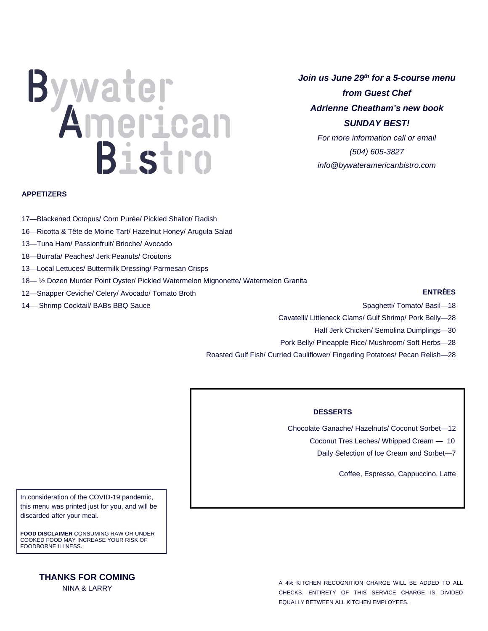# Bistro

*Join us June 29th for a 5-course menu from Guest Chef Adrienne Cheatham's new book SUNDAY BEST! For more information call or email (504) 605-3827*

*info@bywateramericanbistro.com*

### **APPETIZERS**

- 17—Blackened Octopus/ Corn Purée/ Pickled Shallot/ Radish
- 16—Ricotta & Tête de Moine Tart/ Hazelnut Honey/ Arugula Salad
- 13—Tuna Ham/ Passionfruit/ Brioche/ Avocado
- 18—Burrata/ Peaches/ Jerk Peanuts/ Croutons
- 13—Local Lettuces/ Buttermilk Dressing/ Parmesan Crisps
- 18— ½ Dozen Murder Point Oyster/ Pickled Watermelon Mignonette/ Watermelon Granita
- 12—Snapper Ceviche/ Celery/ Avocado/ Tomato Broth
- 14— Shrimp Cocktail/ BABs BBQ Sauce

## **ENTRÉES**

- Spaghetti/ Tomato/ Basil—18
- Cavatelli/ Littleneck Clams/ Gulf Shrimp/ Pork Belly—28
	- Half Jerk Chicken/ Semolina Dumplings—30
- Pork Belly/ Pineapple Rice/ Mushroom/ Soft Herbs—28
- Roasted Gulf Fish/ Curried Cauliflower/ Fingerling Potatoes/ Pecan Relish—28

# **DESSERTS**

٦

- Chocolate Ganache/ Hazelnuts/ Coconut Sorbet—12
	- Coconut Tres Leches/ Whipped Cream 10
		- Daily Selection of Ice Cream and Sorbet—7

Coffee, Espresso, Cappuccino, Latte

In consideration of the COVID-19 pandemic, this menu was printed just for you, and will be discarded after your meal.

**FOOD DISCLAIMER** CONSUMING RAW OR UNDER COOKED FOOD MAY INCREASE YOUR RISK OF FOODBORNE ILLNESS.

# **THANKS FOR COMING**

NINA & LARRY

A 4% KITCHEN RECOGNITION CHARGE WILL BE ADDED TO ALL CHECKS. ENTIRETY OF THIS SERVICE CHARGE IS DIVIDED EQUALLY BETWEEN ALL KITCHEN EMPLOYEES.